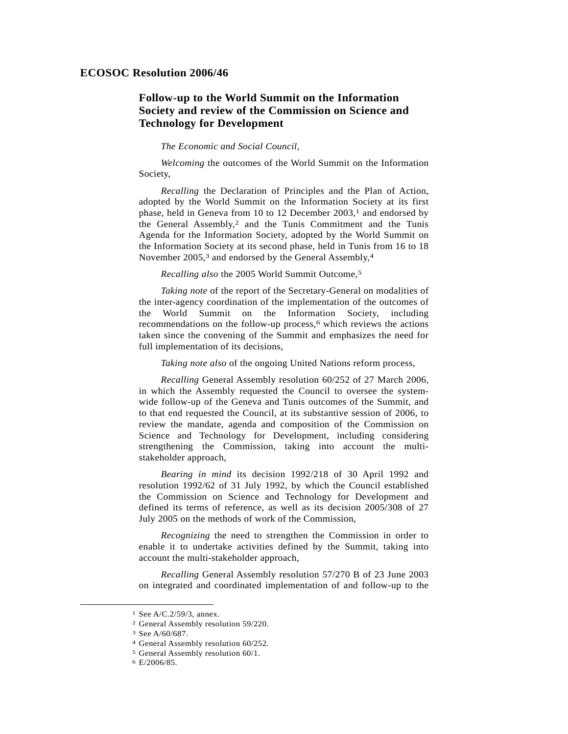# **ECOSOC Resolution 2006/46**

# **Follow-up to the World Summit on the Information Society and review of the Commission on Science and Technology for Development**

## *The Economic and Social Council*,

*Welcoming* the outcomes of the World Summit on the Information Society,

*Recalling* the Declaration of Principles and the Plan of Action, adopted by the World Summit on the Information Society at its first phase, held in Geneva from 10 to 12 December  $2003$ ,<sup>1</sup> and endorsed by the General Assembly,<sup>2</sup> and the Tunis Commitment and the Tunis Agenda for the Information Society, adopted by the World Summit on the Information Society at its second phase, held in Tunis from 16 to 18 November 2005,<sup>3</sup> and endorsed by the General Assembly,<sup>4</sup>

## *Recalling also* the 2005 World Summit Outcome,5

*Taking note* of the report of the Secretary-General on modalities of the inter-agency coordination of the implementation of the outcomes of the World Summit on the Information Society, including recommendations on the follow-up process,<sup>6</sup> which reviews the actions taken since the convening of the Summit and emphasizes the need for full implementation of its decisions,

*Taking note also* of the ongoing United Nations reform process,

*Recalling* General Assembly resolution 60/252 of 27 March 2006, in which the Assembly requested the Council to oversee the systemwide follow-up of the Geneva and Tunis outcomes of the Summit, and to that end requested the Council, at its substantive session of 2006, to review the mandate, agenda and composition of the Commission on Science and Technology for Development, including considering strengthening the Commission, taking into account the multistakeholder approach,

*Bearing in mind* its decision 1992/218 of 30 April 1992 and resolution 1992/62 of 31 July 1992, by which the Council established the Commission on Science and Technology for Development and defined its terms of reference, as well as its decision 2005/308 of 27 July 2005 on the methods of work of the Commission,

*Recognizing* the need to strengthen the Commission in order to enable it to undertake activities defined by the Summit, taking into account the multi-stakeholder approach,

*Recalling* General Assembly resolution 57/270 B of 23 June 2003 on integrated and coordinated implementation of and follow-up to the

 <sup>1</sup> See A/C.2/59/3, annex.

<sup>2</sup> General Assembly resolution 59/220. 3 See A/60/687.

<sup>4</sup> General Assembly resolution 60/252. 5 General Assembly resolution 60/1. 6 E/2006/85.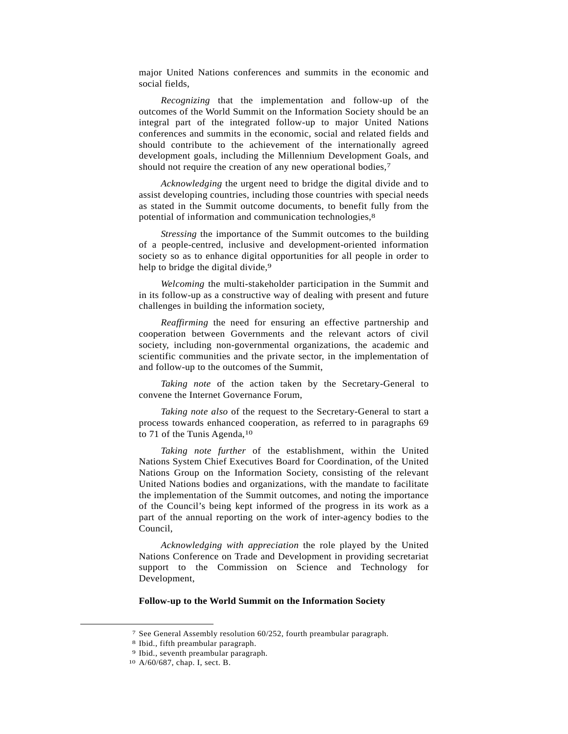major United Nations conferences and summits in the economic and social fields,

*Recognizing* that the implementation and follow-up of the outcomes of the World Summit on the Information Society should be an integral part of the integrated follow-up to major United Nations conferences and summits in the economic, social and related fields and should contribute to the achievement of the internationally agreed development goals, including the Millennium Development Goals, and should not require the creation of any new operational bodies,7

*Acknowledging* the urgent need to bridge the digital divide and to assist developing countries, including those countries with special needs as stated in the Summit outcome documents, to benefit fully from the potential of information and communication technologies,8

*Stressing* the importance of the Summit outcomes to the building of a people-centred, inclusive and development-oriented information society so as to enhance digital opportunities for all people in order to help to bridge the digital divide,<sup>9</sup>

*Welcoming* the multi-stakeholder participation in the Summit and in its follow-up as a constructive way of dealing with present and future challenges in building the information society,

*Reaffirming* the need for ensuring an effective partnership and cooperation between Governments and the relevant actors of civil society, including non-governmental organizations, the academic and scientific communities and the private sector, in the implementation of and follow-up to the outcomes of the Summit,

*Taking note* of the action taken by the Secretary-General to convene the Internet Governance Forum,

*Taking note also* of the request to the Secretary-General to start a process towards enhanced cooperation, as referred to in paragraphs 69 to 71 of the Tunis Agenda,<sup>10</sup>

*Taking note further* of the establishment, within the United Nations System Chief Executives Board for Coordination, of the United Nations Group on the Information Society, consisting of the relevant United Nations bodies and organizations, with the mandate to facilitate the implementation of the Summit outcomes, and noting the importance of the Council's being kept informed of the progress in its work as a part of the annual reporting on the work of inter-agency bodies to the Council,

*Acknowledging with appreciation* the role played by the United Nations Conference on Trade and Development in providing secretariat support to the Commission on Science and Technology for Development,

## **Follow-up to the World Summit on the Information Society**

 <sup>7</sup> See General Assembly resolution 60/252, fourth preambular paragraph. 8 Ibid., fifth preambular paragraph.

<sup>9</sup> Ibid., seventh preambular paragraph.

<sup>10</sup> A/60/687, chap. I, sect. B.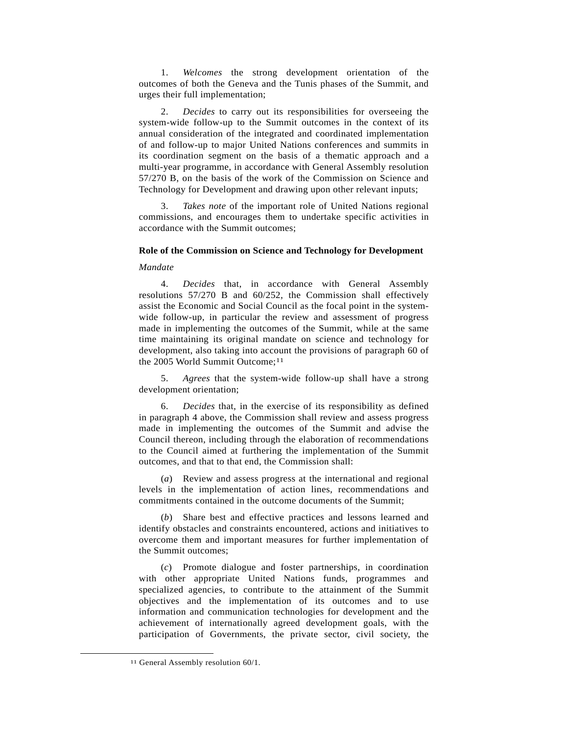1. *Welcomes* the strong development orientation of the outcomes of both the Geneva and the Tunis phases of the Summit, and urges their full implementation;

 2. *Decides* to carry out its responsibilities for overseeing the system-wide follow-up to the Summit outcomes in the context of its annual consideration of the integrated and coordinated implementation of and follow-up to major United Nations conferences and summits in its coordination segment on the basis of a thematic approach and a multi-year programme, in accordance with General Assembly resolution 57/270 B, on the basis of the work of the Commission on Science and Technology for Development and drawing upon other relevant inputs;

 3. *Takes note* of the important role of United Nations regional commissions, and encourages them to undertake specific activities in accordance with the Summit outcomes;

## **Role of the Commission on Science and Technology for Development**

### *Mandate*

 4. *Decides* that, in accordance with General Assembly resolutions 57/270 B and 60/252, the Commission shall effectively assist the Economic and Social Council as the focal point in the systemwide follow-up, in particular the review and assessment of progress made in implementing the outcomes of the Summit, while at the same time maintaining its original mandate on science and technology for development, also taking into account the provisions of paragraph 60 of the 2005 World Summit Outcome;<sup>11</sup>

 5. *Agrees* that the system-wide follow-up shall have a strong development orientation;

 6. *Decides* that, in the exercise of its responsibility as defined in paragraph 4 above, the Commission shall review and assess progress made in implementing the outcomes of the Summit and advise the Council thereon, including through the elaboration of recommendations to the Council aimed at furthering the implementation of the Summit outcomes, and that to that end, the Commission shall:

 (*a*) Review and assess progress at the international and regional levels in the implementation of action lines, recommendations and commitments contained in the outcome documents of the Summit;

 (*b*) Share best and effective practices and lessons learned and identify obstacles and constraints encountered, actions and initiatives to overcome them and important measures for further implementation of the Summit outcomes;

 (*c*) Promote dialogue and foster partnerships, in coordination with other appropriate United Nations funds, programmes and specialized agencies, to contribute to the attainment of the Summit objectives and the implementation of its outcomes and to use information and communication technologies for development and the achievement of internationally agreed development goals, with the participation of Governments, the private sector, civil society, the

 $\overline{a}$ 

<sup>&</sup>lt;sup>11</sup> General Assembly resolution 60/1.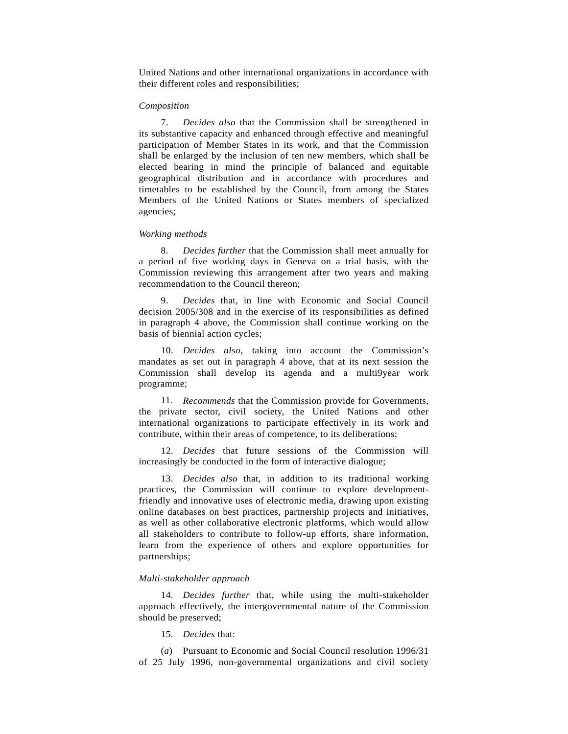United Nations and other international organizations in accordance with their different roles and responsibilities;

## *Composition*

 7. *Decides also* that the Commission shall be strengthened in its substantive capacity and enhanced through effective and meaningful participation of Member States in its work, and that the Commission shall be enlarged by the inclusion of ten new members, which shall be elected bearing in mind the principle of balanced and equitable geographical distribution and in accordance with procedures and timetables to be established by the Council, from among the States Members of the United Nations or States members of specialized agencies;

### *Working methods*

 8. *Decides further* that the Commission shall meet annually for a period of five working days in Geneva on a trial basis, with the Commission reviewing this arrangement after two years and making recommendation to the Council thereon;

 9. *Decides* that, in line with Economic and Social Council decision 2005/308 and in the exercise of its responsibilities as defined in paragraph 4 above, the Commission shall continue working on the basis of biennial action cycles;

 10. *Decides also*, taking into account the Commission's mandates as set out in paragraph 4 above, that at its next session the Commission shall develop its agenda and a multi9year work programme;

 11. *Recommends* that the Commission provide for Governments, the private sector, civil society, the United Nations and other international organizations to participate effectively in its work and contribute, within their areas of competence, to its deliberations;

 12. *Decides* that future sessions of the Commission will increasingly be conducted in the form of interactive dialogue;

 13. *Decides also* that, in addition to its traditional working practices, the Commission will continue to explore developmentfriendly and innovative uses of electronic media, drawing upon existing online databases on best practices, partnership projects and initiatives, as well as other collaborative electronic platforms, which would allow all stakeholders to contribute to follow-up efforts, share information, learn from the experience of others and explore opportunities for partnerships;

#### *Multi-stakeholder approach*

 14. *Decides further* that, while using the multi-stakeholder approach effectively, the intergovernmental nature of the Commission should be preserved;

# 15. *Decides* that:

 (*a*) Pursuant to Economic and Social Council resolution 1996/31 of 25 July 1996, non-governmental organizations and civil society